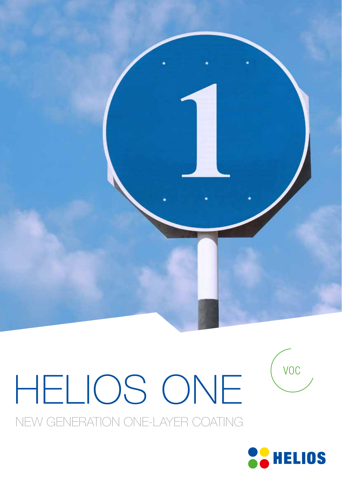

# HELIOS ONE

NEW GENERATION ONE-LAYER COATING



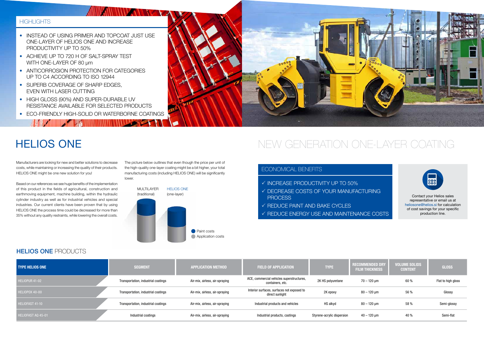

The picture below outlines that even though the price per unit of the high-quality one-layer coating might be a bit higher, your total manufacturing costs (including HELIOS ONE) will be significantly lower.

### ECONOMICAL BENEFITS

- $\checkmark$  INCREASE PRODUCTIVITY UP TO 50%
- $\checkmark$  DECREASE COSTS OF YOUR MANUFACTURING **PROCESS**
- $\checkmark$  REDUCE PAINT AND BAKE CYCLES
- $\checkmark$  REDUCE ENERGY USE AND MAINTENANCE COSTS

## HELIOS ONE

### HELIOS ONE PRODUCTS

## HIGHLIGHTS

- INSTEAD OF USING PRIMER AND TOPCOAT JUST USE ONE-LAYER OF HELIOS ONE AND INCREASE PRODUCTIVITY UP TO 50%
- ACHIEVE UP TO 720 H OF SALT-SPRAY TEST WITH ONE-LAYER OF 80 µm
- ANTICORROSION PROTECTION FOR CATEGORIES UP TO C4 ACCORDING TO ISO 12944
- SUPERB COVERAGE OF SHARP EDGES, EVEN WITH LASER CUTTING
- HIGH GLOSS (90%) AND SUPER-DURABLE UV RESISTANCE AVAILABLE FOR SELECTED PRODUCTS
- FCO-FRIENDLY HIGH-SOLID OR WATERBORNE COATINGS

**TELESCOPE AND ADDRESS OF THE REPORT OF THE REPORT OF THE REPORT OF THE REPORT OF THE REPORT OF THE REPORT OF THE REPORT OF THE REPORT OF THE REPORT OF THE REPORT OF THE REPORT OF THE REPORT OF THE REPORT OF THE REPORT OF** 

| <b>TYPE HELIOS ONE</b> | <b>SEGMENT</b>                      | <b>APPLICATION METHOD</b>      | <b>FIELD OF APPLICATION</b>                                   | <b>TYPE</b>                | <b>RECOMMENDED DRY</b><br><b>FILM THICKNESS</b> | <b>VOLUME SOLIDS</b><br><b>CONTENT</b> | <b>GLOSS</b>       |
|------------------------|-------------------------------------|--------------------------------|---------------------------------------------------------------|----------------------------|-------------------------------------------------|----------------------------------------|--------------------|
| HELIOPUR 41-02         | Transportation, industrial coatings | Air-mix, airless, air-spraying | ACE, commercial vehicles superstructures,<br>containers, etc. | 2K HS polyuretane          | 70 – 120 µm                                     | 60%                                    | Flat to high gloss |
| HELIOPOX 40-00         | Transportation, industrial coatings | Air-mix, airless, air-spraying | Interior surfaces, surfaces not exposed to<br>direct sunlight | 2K epoxy                   | 80 – 120 µm                                     | 56 %                                   | Glossy             |
| HELIOFAST 41-10        | Transportation, industrial coatings | Air-mix, airless, air-spraying | Industrial products and vehicles                              | HS alkyd                   | 80 – 120 µm                                     | 58 %                                   | Semi-glossy        |
| HELIOFAST AQ 45-01     | Industrial coatings                 | Air-mix, airless, air-spraying | Industrial products, castings                                 | Styrene-acrylic dispersion | $40 - 120$ µm                                   | 40 %                                   | Semi-flat          |







Contact your Helios sales representative or email us at heliosone@helios.si for calculation of cost savings for your specific production line.

Manufacturers are looking for new and better solutions to decrease costs, while maintaining or increasing the quality of their products. HELIOS ONE might be one new solution for you!

Based on our references we see huge benefits of the implementation of this product in the fields of agricultural, construction and earthmoving equipment, machine building, within the hydraulic cylinder industry as well as for industrial vehicles and special industries. Our current clients have been proven that by using HELIOS ONE the process time could be decreased for more than 35% without any quality restraints, while lowering the overall costs.

## NEW GENERATION ONE-LAYER COATING